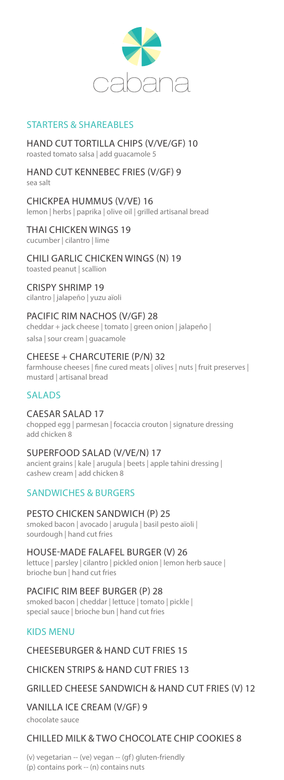

## STARTERS & SHAREABLES

#### HAND CUT TORTILLA CHIPS (V/VE/GF) 10 roasted tomato salsa | add guacamole 5

#### HAND CUT KENNEBEC FRIES (V/GF) 9 sea salt

CHICKPEA HUMMUS (V/VE) 16 lemon | herbs | paprika | olive oil | grilled artisanal bread

# THAI CHICKEN WINGS 19

cucumber | cilantro | lime

### CHILI GARLIC CHICKEN WINGS (N) 19

toasted peanut | scallion

### CRISPY SHRIMP 19

cilantro | jalapeño | yuzu aïoli

### PACIFIC RIM NACHOS (V/GF) 28

cheddar + jack cheese | tomato | green onion | jalapeño | salsa | sour cream | guacamole

### CHEESE + CHARCUTERIE (P/N) 32

farmhouse cheeses | fine cured meats | olives | nuts | fruit preserves | mustard | artisanal bread

# SALADS

### CAESAR SALAD 17

chopped egg | parmesan | focaccia crouton | signature dressing add chicken 8

### SUPERFOOD SALAD (V/VE/N) 17

ancient grains | kale | arugula | beets | apple tahini dressing | cashew cream | add chicken 8

## SANDWICHES & BURGERS

### PESTO CHICKEN SANDWICH (P) 25

smoked bacon | avocado | arugula | basil pesto aïoli | sourdough | hand cut fries

#### HOUSE-MADE FALAFEL BURGER (V) 26 lettuce | parsley | cilantro | pickled onion | lemon herb sauce |

brioche bun | hand cut fries

### PACIFIC RIM BEEF BURGER (P) 28

smoked bacon | cheddar | lettuce | tomato | pickle | special sauce | brioche bun | hand cut fries

### KIDS MENU

### CHEESEBURGER & HAND CUT FRIES 15

### CHICKEN STRIPS & HAND CUT FRIES 13

### GRILLED CHEESE SANDWICH & HAND CUT FRIES (V) 12

### VANILLA ICE CREAM (V/GF) 9

chocolate sauce

### CHILLED MILK & TWO CHOCOLATE CHIP COOKIES 8

(v) vegetarian -- (ve) vegan -- (gf) gluten-friendly (p) contains pork -- (n) contains nuts